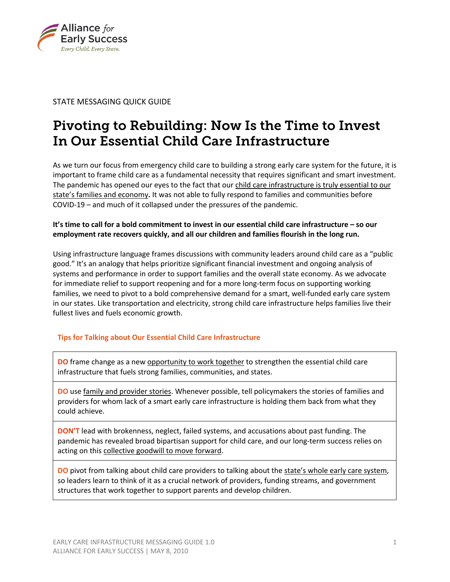

# STATE MESSAGING QUICK GUIDE

# Pivoting to Rebuilding: Now Is the Time to Invest In Our Essential Child Care Infrastructure

As we turn our focus from emergency child care to building a strong early care system for the future, it is important to frame child care as a fundamental necessity that requires significant and smart investment. The pandemic has opened our eyes to the fact that our child care infrastructure is truly essential to our state's families and economy**.** It was not able to fully respond to families and communities before COVID-19 – and much of it collapsed under the pressures of the pandemic.

# **It's time to call for a bold commitment to invest in our essential child care infrastructure – so our employment rate recovers quickly, and all our children and families flourish in the long run.**

Using infrastructure language frames discussions with community leaders around child care as a "public good." It's an analogy that helps prioritize significant financial investment and ongoing analysis of systems and performance in order to support families and the overall state economy. As we advocate for immediate relief to support reopening and for a more long-term focus on supporting working families, we need to pivot to a bold comprehensive demand for a smart, well-funded early care system in our states. Like transportation and electricity, strong child care infrastructure helps families live their fullest lives and fuels economic growth.

# **Tips for Talking about Our Essential Child Care Infrastructure**

**DO** frame change as a new opportunity to work together to strengthen the essential child care infrastructure that fuels strong families, communities, and states.

**DO** use family and provider stories. Whenever possible, tell policymakers the stories of families and providers for whom lack of a smart early care infrastructure is holding them back from what they could achieve.

**DON'T** lead with brokenness, neglect, failed systems, and accusations about past funding. The pandemic has revealed broad bipartisan support for child care, and our long-term success relies on acting on this collective goodwill to move forward.

**DO** pivot from talking about child care providers to talking about the state's whole early care system, so leaders learn to think of it as a crucial network of providers, funding streams, and government structures that work together to support parents and develop children.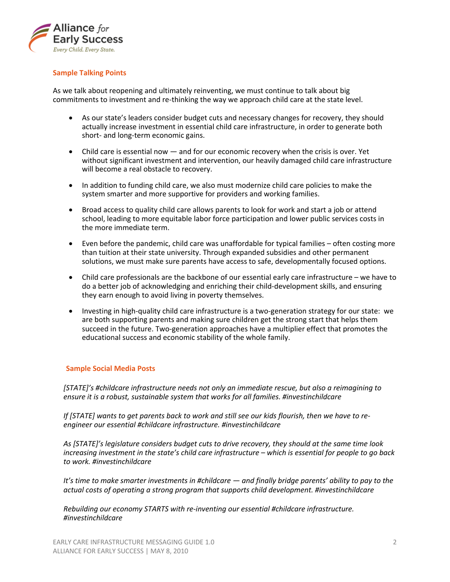

## **Sample Talking Points**

As we talk about reopening and ultimately reinventing, we must continue to talk about big commitments to investment and re-thinking the way we approach child care at the state level.

- As our state's leaders consider budget cuts and necessary changes for recovery, they should actually increase investment in essential child care infrastructure, in order to generate both short- and long-term economic gains.
- Child care is essential now and for our economic recovery when the crisis is over. Yet without significant investment and intervention, our heavily damaged child care infrastructure will become a real obstacle to recovery.
- In addition to funding child care, we also must modernize child care policies to make the system smarter and more supportive for providers and working families.
- Broad access to quality child care allows parents to look for work and start a job or attend school, leading to more equitable labor force participation and lower public services costs in the more immediate term.
- Even before the pandemic, child care was unaffordable for typical families often costing more than tuition at their state university. Through expanded subsidies and other permanent solutions, we must make sure parents have access to safe, developmentally focused options.
- Child care professionals are the backbone of our essential early care infrastructure we have to do a better job of acknowledging and enriching their child-development skills, and ensuring they earn enough to avoid living in poverty themselves.
- Investing in high-quality child care infrastructure is a two-generation strategy for our state: we are both supporting parents and making sure children get the strong start that helps them succeed in the future. Two-generation approaches have a multiplier effect that promotes the educational success and economic stability of the whole family.

#### **Sample Social Media Posts**

*[STATE]'s #childcare infrastructure needs not only an immediate rescue, but also a reimagining to ensure it is a robust, sustainable system that works for all families. #investinchildcare*

*If [STATE] wants to get parents back to work and still see our kids flourish, then we have to reengineer our essential #childcare infrastructure. #investinchildcare*

*As [STATE]'s legislature considers budget cuts to drive recovery, they should at the same time look increasing investment in the state's child care infrastructure – which is essential for people to go back to work. #investinchildcare* 

*It's time to make smarter investments in #childcare — and finally bridge parents' ability to pay to the actual costs of operating a strong program that supports child development. #investinchildcare* 

*Rebuilding our economy STARTS with re-inventing our essential #childcare infrastructure. #investinchildcare*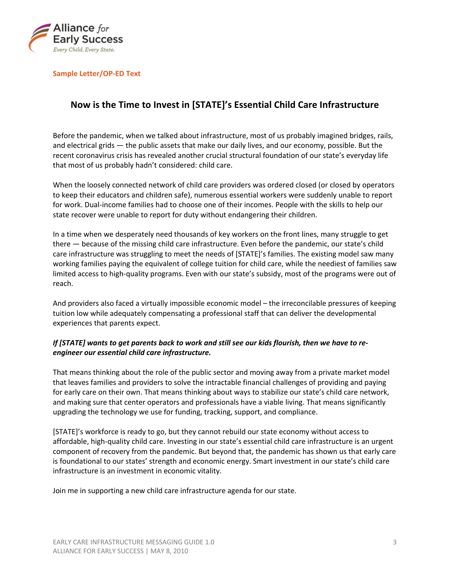

### **Sample Letter/OP-ED Text**

# **Now is the Time to Invest in [STATE]'s Essential Child Care Infrastructure**

Before the pandemic, when we talked about infrastructure, most of us probably imagined bridges, rails, and electrical grids — the public assets that make our daily lives, and our economy, possible. But the recent coronavirus crisis has revealed another crucial structural foundation of our state's everyday life that most of us probably hadn't considered: child care.

When the loosely connected network of child care providers was ordered closed (or closed by operators to keep their educators and children safe), numerous essential workers were suddenly unable to report for work. Dual-income families had to choose one of their incomes. People with the skills to help our state recover were unable to report for duty without endangering their children.

In a time when we desperately need thousands of key workers on the front lines, many struggle to get there — because of the missing child care infrastructure. Even before the pandemic, our state's child care infrastructure was struggling to meet the needs of [STATE]'s families. The existing model saw many working families paying the equivalent of college tuition for child care, while the neediest of families saw limited access to high-quality programs. Even with our state's subsidy, most of the programs were out of reach.

And providers also faced a virtually impossible economic model – the irreconcilable pressures of keeping tuition low while adequately compensating a professional staff that can deliver the developmental experiences that parents expect.

## *If [STATE] wants to get parents back to work and still see our kids flourish, then we have to reengineer our essential child care infrastructure.*

That means thinking about the role of the public sector and moving away from a private market model that leaves families and providers to solve the intractable financial challenges of providing and paying for early care on their own. That means thinking about ways to stabilize our state's child care network, and making sure that center operators and professionals have a viable living. That means significantly upgrading the technology we use for funding, tracking, support, and compliance.

[STATE]'s workforce is ready to go, but they cannot rebuild our state economy without access to affordable, high-quality child care. Investing in our state's essential child care infrastructure is an urgent component of recovery from the pandemic. But beyond that, the pandemic has shown us that early care is foundational to our states' strength and economic energy. Smart investment in our state's child care infrastructure is an investment in economic vitality.

Join me in supporting a new child care infrastructure agenda for our state.